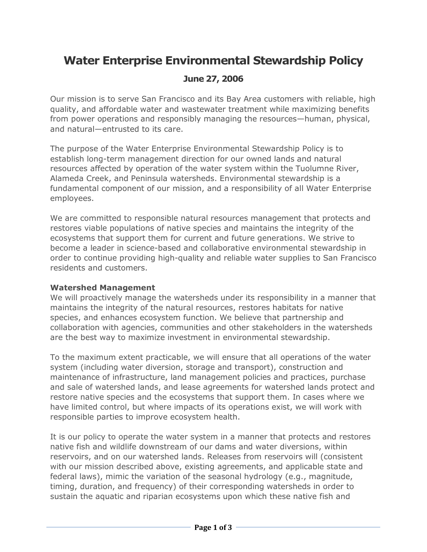# Water Enterprise Environmental Stewardship Policy

## June 27, 2006

Our mission is to serve San Francisco and its Bay Area customers with reliable, high quality, and affordable water and wastewater treatment while maximizing benefits from power operations and responsibly managing the resources—human, physical, and natural—entrusted to its care.

The purpose of the Water Enterprise Environmental Stewardship Policy is to establish long-term management direction for our owned lands and natural resources affected by operation of the water system within the Tuolumne River, Alameda Creek, and Peninsula watersheds. Environmental stewardship is a fundamental component of our mission, and a responsibility of all Water Enterprise employees.

We are committed to responsible natural resources management that protects and restores viable populations of native species and maintains the integrity of the ecosystems that support them for current and future generations. We strive to become a leader in science-based and collaborative environmental stewardship in order to continue providing high-quality and reliable water supplies to San Francisco residents and customers.

#### Watershed Management

We will proactively manage the watersheds under its responsibility in a manner that maintains the integrity of the natural resources, restores habitats for native species, and enhances ecosystem function. We believe that partnership and collaboration with agencies, communities and other stakeholders in the watersheds are the best way to maximize investment in environmental stewardship.

To the maximum extent practicable, we will ensure that all operations of the water system (including water diversion, storage and transport), construction and maintenance of infrastructure, land management policies and practices, purchase and sale of watershed lands, and lease agreements for watershed lands protect and restore native species and the ecosystems that support them. In cases where we have limited control, but where impacts of its operations exist, we will work with responsible parties to improve ecosystem health.

It is our policy to operate the water system in a manner that protects and restores native fish and wildlife downstream of our dams and water diversions, within reservoirs, and on our watershed lands. Releases from reservoirs will (consistent with our mission described above, existing agreements, and applicable state and federal laws), mimic the variation of the seasonal hydrology (e.g., magnitude, timing, duration, and frequency) of their corresponding watersheds in order to sustain the aquatic and riparian ecosystems upon which these native fish and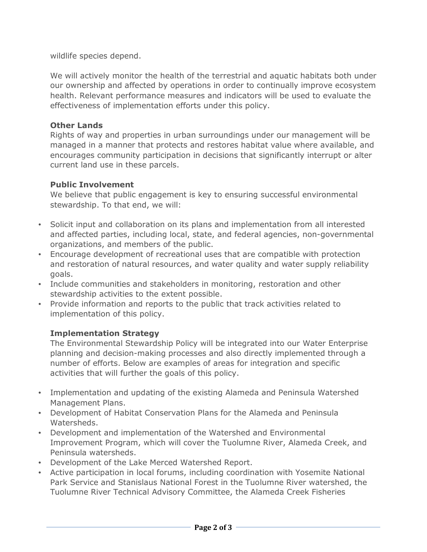wildlife species depend.

We will actively monitor the health of the terrestrial and aquatic habitats both under our ownership and affected by operations in order to continually improve ecosystem health. Relevant performance measures and indicators will be used to evaluate the effectiveness of implementation efforts under this policy.

#### Other Lands

Rights of way and properties in urban surroundings under our management will be managed in a manner that protects and restores habitat value where available, and encourages community participation in decisions that significantly interrupt or alter current land use in these parcels.

#### Public Involvement

We believe that public engagement is key to ensuring successful environmental stewardship. To that end, we will:

- Solicit input and collaboration on its plans and implementation from all interested and affected parties, including local, state, and federal agencies, non-governmental organizations, and members of the public.
- Encourage development of recreational uses that are compatible with protection and restoration of natural resources, and water quality and water supply reliability goals.
- Include communities and stakeholders in monitoring, restoration and other stewardship activities to the extent possible.
- Provide information and reports to the public that track activities related to implementation of this policy.

### Implementation Strategy

The Environmental Stewardship Policy will be integrated into our Water Enterprise planning and decision-making processes and also directly implemented through a number of efforts. Below are examples of areas for integration and specific activities that will further the goals of this policy.

- Implementation and updating of the existing Alameda and Peninsula Watershed Management Plans.
- Development of Habitat Conservation Plans for the Alameda and Peninsula Watersheds.
- Development and implementation of the Watershed and Environmental Improvement Program, which will cover the Tuolumne River, Alameda Creek, and Peninsula watersheds.
- Development of the Lake Merced Watershed Report.
- Active participation in local forums, including coordination with Yosemite National Park Service and Stanislaus National Forest in the Tuolumne River watershed, the Tuolumne River Technical Advisory Committee, the Alameda Creek Fisheries